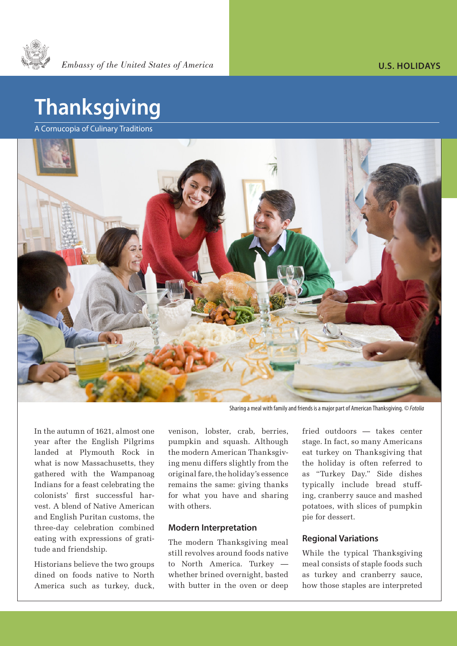

## **Thanksgiving**

A Cornucopia of Culinary Traditions



Sharing a meal with family and friends is a major part of American Thanksgiving. *© Fotolia* 

In the autumn of 1621, almost one year after the English Pilgrims landed at Plymouth Rock in what is now Massachusetts, they gathered with the Wampanoag Indians for a feast celebrating the colonists' first successful harvest. A blend of Native American and English Puritan customs, the three-day celebration combined eating with expressions of gratitude and friendship.

Historians believe the two groups dined on foods native to North America such as turkey, duck,

venison, lobster, crab, berries, pumpkin and squash. Although the modern American Thanksgiving menu differs slightly from the original fare, the holiday's essence remains the same: giving thanks for what you have and sharing with others.

## **Modern Interpretation**

The modern Thanksgiving meal still revolves around foods native to North America. Turkey whether brined overnight, basted with butter in the oven or deep

fried outdoors — takes center stage. In fact, so many Americans eat turkey on Thanksgiving that the holiday is often referred to as "Turkey Day." Side dishes typically include bread stuffing, cranberry sauce and mashed potatoes, with slices of pumpkin pie for dessert.

## **Regional Variations**

While the typical Thanksgiving meal consists of staple foods such as turkey and cranberry sauce, how those staples are interpreted